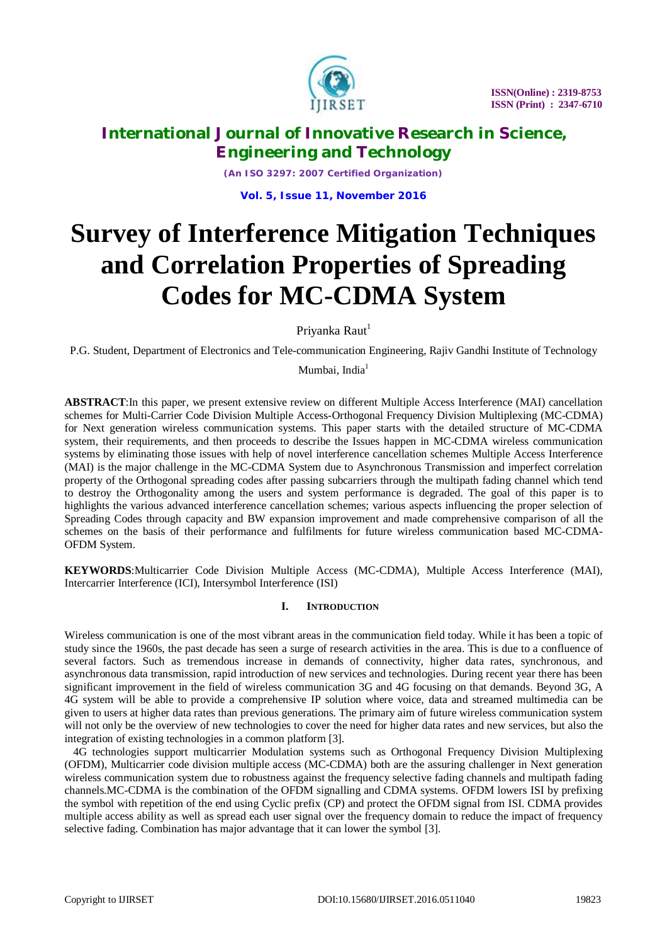

*(An ISO 3297: 2007 Certified Organization)*

**Vol. 5, Issue 11, November 2016**

# **Survey of Interference Mitigation Techniques and Correlation Properties of Spreading Codes for MC-CDMA System**

Priyanka Raut<sup>1</sup>

P.G. Student, Department of Electronics and Tele-communication Engineering, Rajiv Gandhi Institute of Technology

Mumbai, India<sup>1</sup>

**ABSTRACT**:In this paper, we present extensive review on different Multiple Access Interference (MAI) cancellation schemes for Multi-Carrier Code Division Multiple Access-Orthogonal Frequency Division Multiplexing (MC-CDMA) for Next generation wireless communication systems. This paper starts with the detailed structure of MC-CDMA system, their requirements, and then proceeds to describe the Issues happen in MC-CDMA wireless communication systems by eliminating those issues with help of novel interference cancellation schemes Multiple Access Interference (MAI) is the major challenge in the MC-CDMA System due to Asynchronous Transmission and imperfect correlation property of the Orthogonal spreading codes after passing subcarriers through the multipath fading channel which tend to destroy the Orthogonality among the users and system performance is degraded. The goal of this paper is to highlights the various advanced interference cancellation schemes; various aspects influencing the proper selection of Spreading Codes through capacity and BW expansion improvement and made comprehensive comparison of all the schemes on the basis of their performance and fulfilments for future wireless communication based MC-CDMA-OFDM System.

**KEYWORDS**:Multicarrier Code Division Multiple Access (MC-CDMA), Multiple Access Interference (MAI), Intercarrier Interference (ICI), Intersymbol Interference (ISI)

### **I. INTRODUCTION**

Wireless communication is one of the most vibrant areas in the communication field today. While it has been a topic of study since the 1960s, the past decade has seen a surge of research activities in the area. This is due to a confluence of several factors. Such as tremendous increase in demands of connectivity, higher data rates, synchronous, and asynchronous data transmission, rapid introduction of new services and technologies. During recent year there has been significant improvement in the field of wireless communication 3G and 4G focusing on that demands. Beyond 3G, A 4G system will be able to provide a comprehensive IP solution where voice, data and streamed multimedia can be given to users at higher data rates than previous generations. The primary aim of future wireless communication system will not only be the overview of new technologies to cover the need for higher data rates and new services, but also the integration of existing technologies in a common platform [3].

 4G technologies support multicarrier Modulation systems such as Orthogonal Frequency Division Multiplexing (OFDM), Multicarrier code division multiple access (MC-CDMA) both are the assuring challenger in Next generation wireless communication system due to robustness against the frequency selective fading channels and multipath fading channels.MC-CDMA is the combination of the OFDM signalling and CDMA systems. OFDM lowers ISI by prefixing the symbol with repetition of the end using Cyclic prefix (CP) and protect the OFDM signal from ISI. CDMA provides multiple access ability as well as spread each user signal over the frequency domain to reduce the impact of frequency selective fading. Combination has major advantage that it can lower the symbol [3].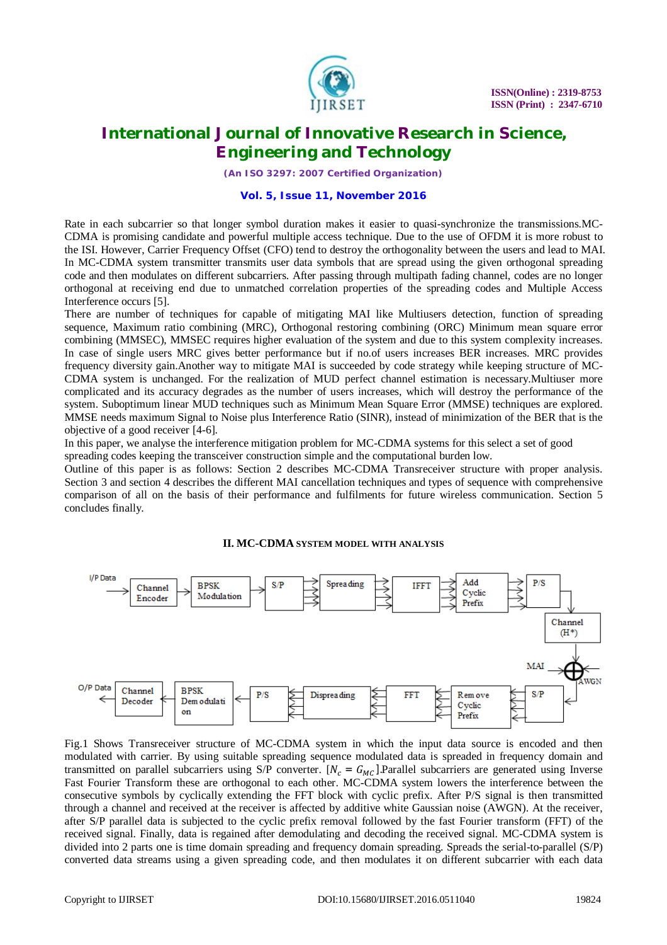

*(An ISO 3297: 2007 Certified Organization)*

#### **Vol. 5, Issue 11, November 2016**

Rate in each subcarrier so that longer symbol duration makes it easier to quasi-synchronize the transmissions.MC-CDMA is promising candidate and powerful multiple access technique. Due to the use of OFDM it is more robust to the ISI. However, Carrier Frequency Offset (CFO) tend to destroy the orthogonality between the users and lead to MAI. In MC-CDMA system transmitter transmits user data symbols that are spread using the given orthogonal spreading code and then modulates on different subcarriers. After passing through multipath fading channel, codes are no longer orthogonal at receiving end due to unmatched correlation properties of the spreading codes and Multiple Access Interference occurs [5].

There are number of techniques for capable of mitigating MAI like Multiusers detection, function of spreading sequence, Maximum ratio combining (MRC), Orthogonal restoring combining (ORC) Minimum mean square error combining (MMSEC), MMSEC requires higher evaluation of the system and due to this system complexity increases. In case of single users MRC gives better performance but if no.of users increases BER increases. MRC provides frequency diversity gain.Another way to mitigate MAI is succeeded by code strategy while keeping structure of MC-CDMA system is unchanged. For the realization of MUD perfect channel estimation is necessary.Multiuser more complicated and its accuracy degrades as the number of users increases, which will destroy the performance of the system. Suboptimum linear MUD techniques such as Minimum Mean Square Error (MMSE) techniques are explored. MMSE needs maximum Signal to Noise plus Interference Ratio (SINR), instead of minimization of the BER that is the objective of a good receiver [4-6].

In this paper, we analyse the interference mitigation problem for MC-CDMA systems for this select a set of good spreading codes keeping the transceiver construction simple and the computational burden low.

Outline of this paper is as follows: Section 2 describes MC-CDMA Transreceiver structure with proper analysis. Section 3 and section 4 describes the different MAI cancellation techniques and types of sequence with comprehensive comparison of all on the basis of their performance and fulfilments for future wireless communication. Section 5 concludes finally.

**II. MC-CDMA SYSTEM MODEL WITH ANALYSIS**



Fig.1 Shows Transreceiver structure of MC-CDMA system in which the input data source is encoded and then modulated with carrier. By using suitable spreading sequence modulated data is spreaded in frequency domain and transmitted on parallel subcarriers using S/P converter.  $[N_c = G_{MC}]$ . Parallel subcarriers are generated using Inverse Fast Fourier Transform these are orthogonal to each other. MC-CDMA system lowers the interference between the consecutive symbols by cyclically extending the FFT block with cyclic prefix. After P/S signal is then transmitted through a channel and received at the receiver is affected by additive white Gaussian noise (AWGN). At the receiver, after S/P parallel data is subjected to the cyclic prefix removal followed by the fast Fourier transform (FFT) of the received signal. Finally, data is regained after demodulating and decoding the received signal. MC-CDMA system is divided into 2 parts one is time domain spreading and frequency domain spreading. Spreads the serial-to-parallel (S/P) converted data streams using a given spreading code, and then modulates it on different subcarrier with each data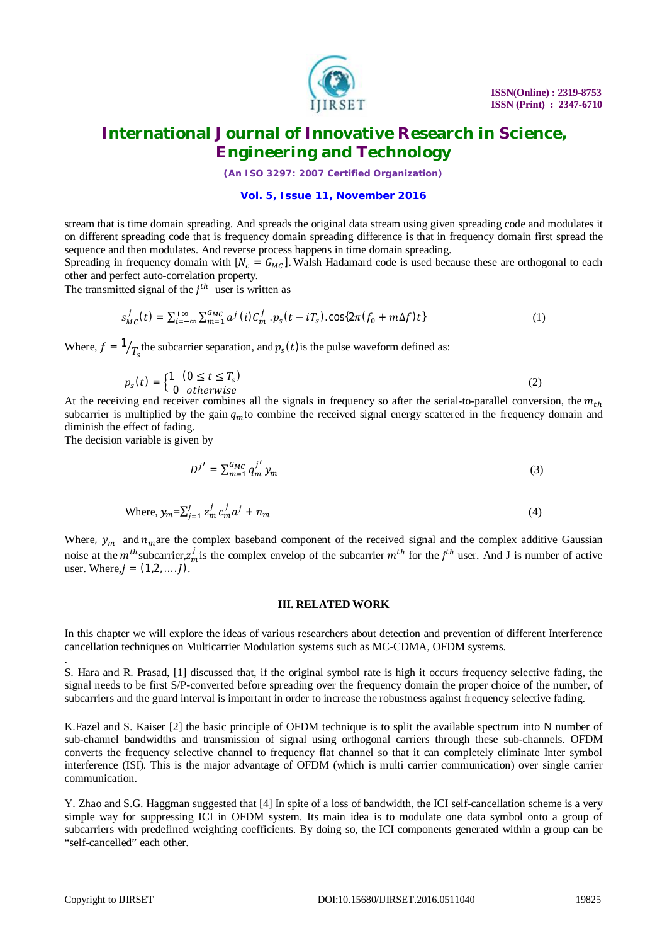

*(An ISO 3297: 2007 Certified Organization)*

#### **Vol. 5, Issue 11, November 2016**

stream that is time domain spreading. And spreads the original data stream using given spreading code and modulates it on different spreading code that is frequency domain spreading difference is that in frequency domain first spread the sequence and then modulates. And reverse process happens in time domain spreading.

Spreading in frequency domain with  $[N_c = G_{MC}]$ . Walsh Hadamard code is used because these are orthogonal to each other and perfect auto-correlation property.

The transmitted signal of the  $j<sup>th</sup>$  user is written as

$$
s_{MC}^j(t) = \sum_{i=-\infty}^{+\infty} \sum_{m=1}^{G_{MC}} a^j(i) C_m^j \cdot p_s(t - iT_s) \cdot \cos\{2\pi (f_0 + m\Delta f)t\} \tag{1}
$$

Where,  $f = \frac{1}{T_s}$ the subcarrier separation, and  $p_s(t)$  is the pulse waveform defined as:

$$
p_s(t) = \begin{cases} 1 & (0 \le t \le T_s) \\ 0 & \text{otherwise} \end{cases} \tag{2}
$$

At the receiving end receiver combines all the signals in frequency so after the serial-to-parallel conversion, the  $m_{th}$ subcarrier is multiplied by the gain  $q<sub>m</sub>$  to combine the received signal energy scattered in the frequency domain and diminish the effect of fading.

The decision variable is given by

$$
D^{j'} = \sum_{m=1}^{G_{MC}} q_m^{j'} y_m \tag{3}
$$

Where, 
$$
y_m = \sum_{j=1}^{J} z_m^j c_m^j a^j + n_m
$$
 (4)

Where,  $y_m$  and  $n_m$ are the complex baseband component of the received signal and the complex additive Gaussian noise at the  $m^{th}$  subcarrier, $z_m^j$  is the complex envelop of the subcarrier  $m^{th}$  for the  $j^{th}$  user. And J is number of active user. Where,  $j = (1, 2, ..., l)$ .

#### **III. RELATED WORK**

In this chapter we will explore the ideas of various researchers about detection and prevention of different Interference cancellation techniques on Multicarrier Modulation systems such as MC-CDMA, OFDM systems.

S. Hara and R. Prasad, [1] discussed that, if the original symbol rate is high it occurs frequency selective fading, the signal needs to be first S/P-converted before spreading over the frequency domain the proper choice of the number, of subcarriers and the guard interval is important in order to increase the robustness against frequency selective fading.

K.Fazel and S. Kaiser [2] the basic principle of OFDM technique is to split the available spectrum into N number of sub-channel bandwidths and transmission of signal using orthogonal carriers through these sub-channels. OFDM converts the frequency selective channel to frequency flat channel so that it can completely eliminate Inter symbol interference (ISI). This is the major advantage of OFDM (which is multi carrier communication) over single carrier communication.

Y. Zhao and S.G. Haggman suggested that [4] In spite of a loss of bandwidth, the ICI self-cancellation scheme is a very simple way for suppressing ICI in OFDM system. Its main idea is to modulate one data symbol onto a group of subcarriers with predefined weighting coefficients. By doing so, the ICI components generated within a group can be "self-cancelled" each other.

.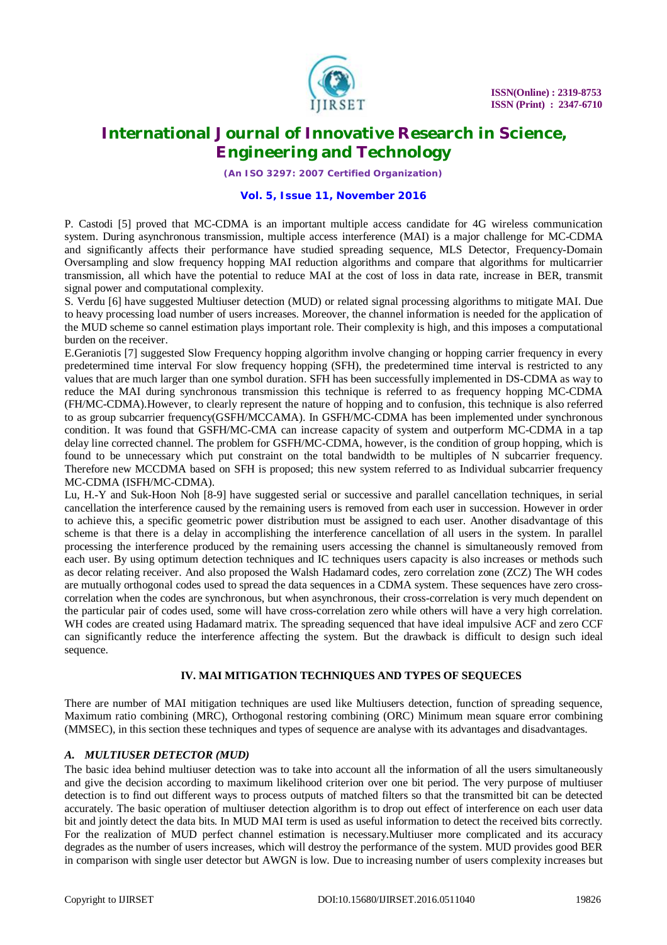

*(An ISO 3297: 2007 Certified Organization)*

#### **Vol. 5, Issue 11, November 2016**

P. Castodi [5] proved that MC-CDMA is an important multiple access candidate for 4G wireless communication system. During asynchronous transmission, multiple access interference (MAI) is a major challenge for MC-CDMA and significantly affects their performance have studied spreading sequence, MLS Detector, Frequency-Domain Oversampling and slow frequency hopping MAI reduction algorithms and compare that algorithms for multicarrier transmission, all which have the potential to reduce MAI at the cost of loss in data rate, increase in BER, transmit signal power and computational complexity.

S. Verdu [6] have suggested Multiuser detection (MUD) or related signal processing algorithms to mitigate MAI. Due to heavy processing load number of users increases. Moreover, the channel information is needed for the application of the MUD scheme so cannel estimation plays important role. Their complexity is high, and this imposes a computational burden on the receiver.

E.Geraniotis [7] suggested Slow Frequency hopping algorithm involve changing or hopping carrier frequency in every predetermined time interval For slow frequency hopping (SFH), the predetermined time interval is restricted to any values that are much larger than one symbol duration. SFH has been successfully implemented in DS-CDMA as way to reduce the MAI during synchronous transmission this technique is referred to as frequency hopping MC-CDMA (FH/MC-CDMA).However, to clearly represent the nature of hopping and to confusion, this technique is also referred to as group subcarrier frequency(GSFH/MCCAMA). In GSFH/MC-CDMA has been implemented under synchronous condition. It was found that GSFH/MC-CMA can increase capacity of system and outperform MC-CDMA in a tap delay line corrected channel. The problem for GSFH/MC-CDMA, however, is the condition of group hopping, which is found to be unnecessary which put constraint on the total bandwidth to be multiples of N subcarrier frequency. Therefore new MCCDMA based on SFH is proposed; this new system referred to as Individual subcarrier frequency MC-CDMA (ISFH/MC-CDMA).

Lu, H.-Y and Suk-Hoon Noh [8-9] have suggested serial or successive and parallel cancellation techniques, in serial cancellation the interference caused by the remaining users is removed from each user in succession. However in order to achieve this, a specific geometric power distribution must be assigned to each user. Another disadvantage of this scheme is that there is a delay in accomplishing the interference cancellation of all users in the system. In parallel processing the interference produced by the remaining users accessing the channel is simultaneously removed from each user. By using optimum detection techniques and IC techniques users capacity is also increases or methods such as decor relating receiver. And also proposed the Walsh Hadamard codes, zero correlation zone (ZCZ) The WH codes are mutually orthogonal codes used to spread the data sequences in a CDMA system. These sequences have zero crosscorrelation when the codes are synchronous, but when asynchronous, their cross-correlation is very much dependent on the particular pair of codes used, some will have cross-correlation zero while others will have a very high correlation. WH codes are created using Hadamard matrix. The spreading sequenced that have ideal impulsive ACF and zero CCF can significantly reduce the interference affecting the system. But the drawback is difficult to design such ideal sequence.

#### **IV. MAI MITIGATION TECHNIQUES AND TYPES OF SEQUECES**

There are number of MAI mitigation techniques are used like Multiusers detection, function of spreading sequence, Maximum ratio combining (MRC), Orthogonal restoring combining (ORC) Minimum mean square error combining (MMSEC), in this section these techniques and types of sequence are analyse with its advantages and disadvantages.

#### *A. MULTIUSER DETECTOR (MUD)*

The basic idea behind multiuser detection was to take into account all the information of all the users simultaneously and give the decision according to maximum likelihood criterion over one bit period. The very purpose of multiuser detection is to find out different ways to process outputs of matched filters so that the transmitted bit can be detected accurately. The basic operation of multiuser detection algorithm is to drop out effect of interference on each user data bit and jointly detect the data bits. In MUD MAI term is used as useful information to detect the received bits correctly. For the realization of MUD perfect channel estimation is necessary.Multiuser more complicated and its accuracy degrades as the number of users increases, which will destroy the performance of the system. MUD provides good BER in comparison with single user detector but AWGN is low. Due to increasing number of users complexity increases but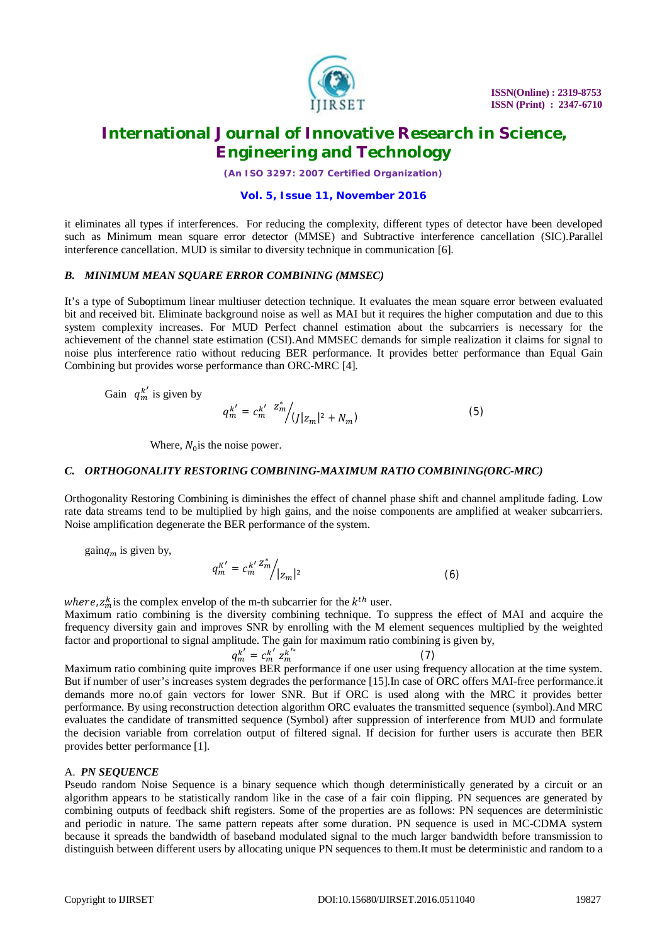

*(An ISO 3297: 2007 Certified Organization)*

#### **Vol. 5, Issue 11, November 2016**

it eliminates all types if interferences. For reducing the complexity, different types of detector have been developed such as Minimum mean square error detector (MMSE) and Subtractive interference cancellation (SIC).Parallel interference cancellation. MUD is similar to diversity technique in communication [6].

#### *B. MINIMUM MEAN SQUARE ERROR COMBINING (MMSEC)*

It's a type of Suboptimum linear multiuser detection technique. It evaluates the mean square error between evaluated bit and received bit. Eliminate background noise as well as MAI but it requires the higher computation and due to this system complexity increases. For MUD Perfect channel estimation about the subcarriers is necessary for the achievement of the channel state estimation (CSI).And MMSEC demands for simple realization it claims for signal to noise plus interference ratio without reducing BER performance. It provides better performance than Equal Gain Combining but provides worse performance than ORC-MRC [4].

Gain  $q_m^{k'}$  is given by

$$
q_m^{k'} = c_m^{k'} \left. \frac{z_m^*}{\sqrt{(|z_m|^2 + N_m)}} \right) \tag{5}
$$

Where,  $N_0$  is the noise power.

#### *C. ORTHOGONALITY RESTORING COMBINING-MAXIMUM RATIO COMBINING(ORC-MRC)*

Orthogonality Restoring Combining is diminishes the effect of channel phase shift and channel amplitude fading. Low rate data streams tend to be multiplied by high gains, and the noise components are amplified at weaker subcarriers. Noise amplification degenerate the BER performance of the system.

gain $q_m$  is given by,

$$
q_m^{K'} = c_m^{k'} \frac{z_m^*}{|z_m|^2} \tag{6}
$$

where,  $z_m^k$  is the complex envelop of the m-th subcarrier for the  $k^{th}$  user.

Maximum ratio combining is the diversity combining technique. To suppress the effect of MAI and acquire the frequency diversity gain and improves SNR by enrolling with the M element sequences multiplied by the weighted factor and proportional to signal amplitude. The gain for maximum ratio combining is given by,

$$
q_m^{k'} = c_m^{k'} z_m^{k'^*} \tag{7}
$$

Maximum ratio combining quite improves BER performance if one user using frequency allocation at the time system. But if number of user's increases system degrades the performance [15].In case of ORC offers MAI-free performance.it demands more no.of gain vectors for lower SNR. But if ORC is used along with the MRC it provides better performance. By using reconstruction detection algorithm ORC evaluates the transmitted sequence (symbol).And MRC evaluates the candidate of transmitted sequence (Symbol) after suppression of interference from MUD and formulate the decision variable from correlation output of filtered signal. If decision for further users is accurate then BER provides better performance [1].

#### A. *PN SEQUENCE*

Pseudo random Noise Sequence is a binary sequence which though deterministically generated by a circuit or an algorithm appears to be statistically random like in the case of a fair coin flipping. PN sequences are generated by combining outputs of feedback shift registers. Some of the properties are as follows: PN sequences are deterministic and periodic in nature. The same pattern repeats after some duration. PN sequence is used in MC-CDMA system because it spreads the bandwidth of baseband modulated signal to the much larger bandwidth before transmission to distinguish between different users by allocating unique PN sequences to them.It must be deterministic and random to a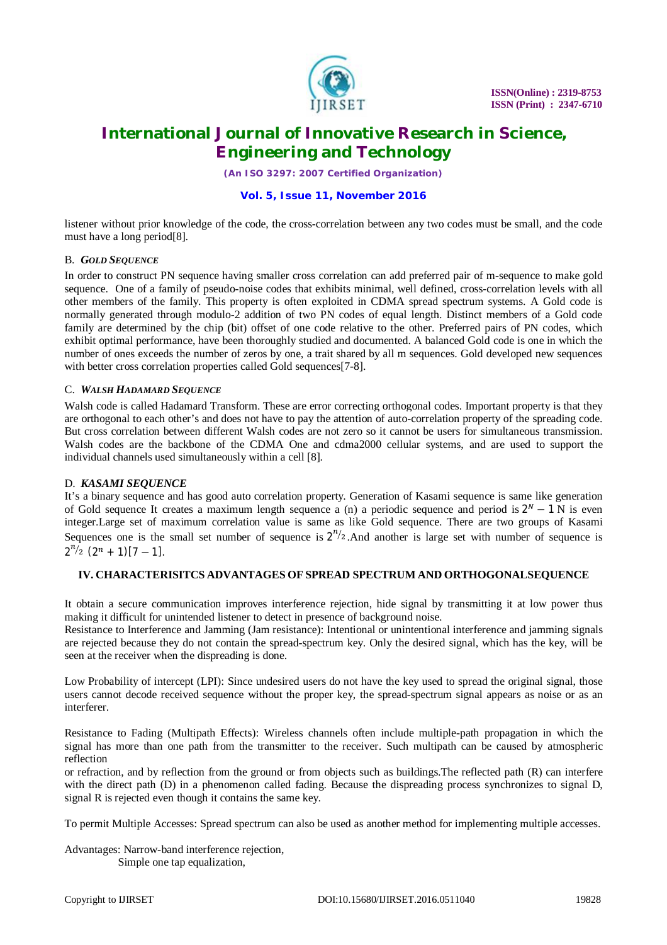

*(An ISO 3297: 2007 Certified Organization)*

#### **Vol. 5, Issue 11, November 2016**

listener without prior knowledge of the code, the cross-correlation between any two codes must be small, and the code must have a long period[8].

#### B. *GOLD SEQUENCE*

In order to construct PN sequence having smaller cross correlation can add preferred pair of m-sequence to make gold sequence. One of a family of pseudo-noise codes that exhibits minimal, well defined, cross-correlation levels with all other members of the family. This property is often exploited in CDMA spread spectrum systems. A Gold code is normally generated through modulo-2 addition of two PN codes of equal length. Distinct members of a Gold code family are determined by the chip (bit) offset of one code relative to the other. Preferred pairs of PN codes, which exhibit optimal performance, have been thoroughly studied and documented. A balanced Gold code is one in which the number of ones exceeds the number of zeros by one, a trait shared by all m sequences. Gold developed new sequences with better cross correlation properties called Gold sequences[7-8].

#### C. *WALSH HADAMARD SEQUENCE*

Walsh code is called Hadamard Transform. These are error correcting orthogonal codes. Important property is that they are orthogonal to each other's and does not have to pay the attention of auto-correlation property of the spreading code. But cross correlation between different Walsh codes are not zero so it cannot be users for simultaneous transmission. Walsh codes are the backbone of the CDMA One and cdma2000 cellular systems, and are used to support the individual channels used simultaneously within a cell [8].

#### D. *KASAMI SEQUENCE*

It's a binary sequence and has good auto correlation property. Generation of Kasami sequence is same like generation of Gold sequence It creates a maximum length sequence a (n) a periodic sequence and period is  $2^N - 1$  N is even integer.Large set of maximum correlation value is same as like Gold sequence. There are two groups of Kasami Sequences one is the small set number of sequence is  $2^{n/2}$ . And another is large set with number of sequence is  $2^{n/2} (2^n + 1)[7 - 1].$ 

#### **IV. CHARACTERISITCS ADVANTAGES OF SPREAD SPECTRUM AND ORTHOGONALSEQUENCE**

It obtain a secure communication improves interference rejection, hide signal by transmitting it at low power thus making it difficult for unintended listener to detect in presence of background noise.

Resistance to Interference and Jamming (Jam resistance): Intentional or unintentional interference and jamming signals are rejected because they do not contain the spread-spectrum key. Only the desired signal, which has the key, will be seen at the receiver when the dispreading is done.

Low Probability of intercept (LPI): Since undesired users do not have the key used to spread the original signal, those users cannot decode received sequence without the proper key, the spread-spectrum signal appears as noise or as an interferer.

Resistance to Fading (Multipath Effects): Wireless channels often include multiple-path propagation in which the signal has more than one path from the transmitter to the receiver. Such multipath can be caused by atmospheric reflection

or refraction, and by reflection from the ground or from objects such as buildings.The reflected path (R) can interfere with the direct path (D) in a phenomenon called fading. Because the dispreading process synchronizes to signal D, signal R is rejected even though it contains the same key.

To permit Multiple Accesses: Spread spectrum can also be used as another method for implementing multiple accesses.

Advantages: Narrow-band interference rejection, Simple one tap equalization,